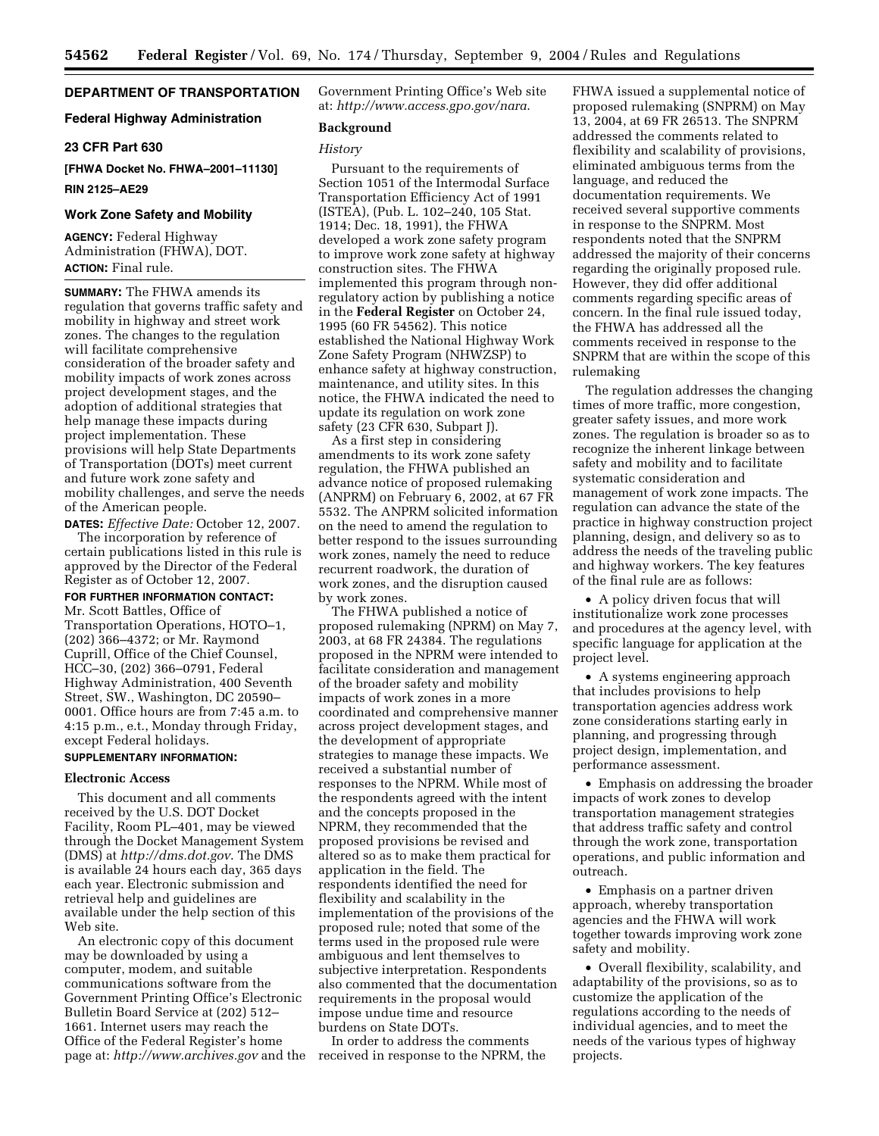# **DEPARTMENT OF TRANSPORTATION**

### **Federal Highway Administration**

#### **23 CFR Part 630**

# **[FHWA Docket No. FHWA–2001–11130] RIN 2125–AE29**

#### **Work Zone Safety and Mobility**

**AGENCY:** Federal Highway Administration (FHWA), DOT. **ACTION:** Final rule.

**SUMMARY:** The FHWA amends its regulation that governs traffic safety and mobility in highway and street work zones. The changes to the regulation will facilitate comprehensive consideration of the broader safety and mobility impacts of work zones across project development stages, and the adoption of additional strategies that help manage these impacts during project implementation. These provisions will help State Departments of Transportation (DOTs) meet current and future work zone safety and mobility challenges, and serve the needs of the American people.

**DATES:** *Effective Date:* October 12, 2007. The incorporation by reference of certain publications listed in this rule is approved by the Director of the Federal Register as of October 12, 2007.

### **FOR FURTHER INFORMATION CONTACT:** Mr. Scott Battles, Office of

Transportation Operations, HOTO–1, (202) 366–4372; or Mr. Raymond Cuprill, Office of the Chief Counsel, HCC–30, (202) 366–0791, Federal Highway Administration, 400 Seventh Street, SW., Washington, DC 20590– 0001. Office hours are from 7:45 a.m. to 4:15 p.m., e.t., Monday through Friday, except Federal holidays.

# **SUPPLEMENTARY INFORMATION:**

# **Electronic Access**

This document and all comments received by the U.S. DOT Docket Facility, Room PL–401, may be viewed through the Docket Management System (DMS) at *<http://dms.dot.gov>*. The DMS is available 24 hours each day, 365 days each year. Electronic submission and retrieval help and guidelines are available under the help section of this Web site.

An electronic copy of this document may be downloaded by using a computer, modem, and suitable communications software from the Government Printing Office's Electronic Bulletin Board Service at (202) 512– 1661. Internet users may reach the Office of the Federal Register's home page at: *<http://www.archives.gov>*and the Government Printing Office's Web site at: *<http://www.access.gpo.gov/nara>*.

#### **Background**

#### *History*

Pursuant to the requirements of Section 1051 of the Intermodal Surface Transportation Efficiency Act of 1991 (ISTEA), (Pub. L. 102–240, 105 Stat. 1914; Dec. 18, 1991), the FHWA developed a work zone safety program to improve work zone safety at highway construction sites. The FHWA implemented this program through nonregulatory action by publishing a notice in the **Federal Register** on October 24, 1995 (60 FR 54562). This notice established the National Highway Work Zone Safety Program (NHWZSP) to enhance safety at highway construction, maintenance, and utility sites. In this notice, the FHWA indicated the need to update its regulation on work zone safety (23 CFR 630, Subpart J).

As a first step in considering amendments to its work zone safety regulation, the FHWA published an advance notice of proposed rulemaking (ANPRM) on February 6, 2002, at 67 FR 5532. The ANPRM solicited information on the need to amend the regulation to better respond to the issues surrounding work zones, namely the need to reduce recurrent roadwork, the duration of work zones, and the disruption caused by work zones.

The FHWA published a notice of proposed rulemaking (NPRM) on May 7, 2003, at 68 FR 24384. The regulations proposed in the NPRM were intended to facilitate consideration and management of the broader safety and mobility impacts of work zones in a more coordinated and comprehensive manner across project development stages, and the development of appropriate strategies to manage these impacts. We received a substantial number of responses to the NPRM. While most of the respondents agreed with the intent and the concepts proposed in the NPRM, they recommended that the proposed provisions be revised and altered so as to make them practical for application in the field. The respondents identified the need for flexibility and scalability in the implementation of the provisions of the proposed rule; noted that some of the terms used in the proposed rule were ambiguous and lent themselves to subjective interpretation. Respondents also commented that the documentation requirements in the proposal would impose undue time and resource burdens on State DOTs.

In order to address the comments received in response to the NPRM, the FHWA issued a supplemental notice of proposed rulemaking (SNPRM) on May 13, 2004, at 69 FR 26513. The SNPRM addressed the comments related to flexibility and scalability of provisions, eliminated ambiguous terms from the language, and reduced the documentation requirements. We received several supportive comments in response to the SNPRM. Most respondents noted that the SNPRM addressed the majority of their concerns regarding the originally proposed rule. However, they did offer additional comments regarding specific areas of concern. In the final rule issued today, the FHWA has addressed all the comments received in response to the SNPRM that are within the scope of this rulemaking

The regulation addresses the changing times of more traffic, more congestion, greater safety issues, and more work zones. The regulation is broader so as to recognize the inherent linkage between safety and mobility and to facilitate systematic consideration and management of work zone impacts. The regulation can advance the state of the practice in highway construction project planning, design, and delivery so as to address the needs of the traveling public and highway workers. The key features of the final rule are as follows:

• A policy driven focus that will institutionalize work zone processes and procedures at the agency level, with specific language for application at the project level.

• A systems engineering approach that includes provisions to help transportation agencies address work zone considerations starting early in planning, and progressing through project design, implementation, and performance assessment.

• Emphasis on addressing the broader impacts of work zones to develop transportation management strategies that address traffic safety and control through the work zone, transportation operations, and public information and outreach.

• Emphasis on a partner driven approach, whereby transportation agencies and the FHWA will work together towards improving work zone safety and mobility.

• Overall flexibility, scalability, and adaptability of the provisions, so as to customize the application of the regulations according to the needs of individual agencies, and to meet the needs of the various types of highway projects.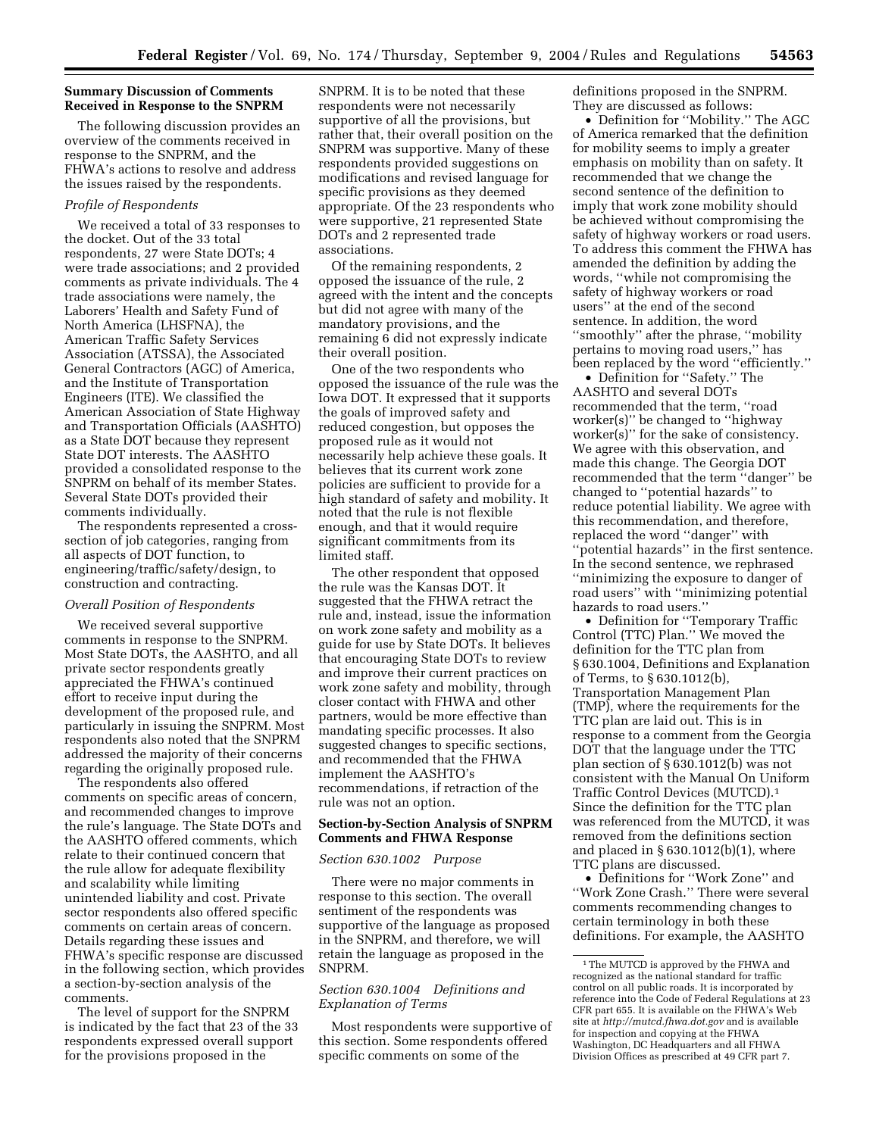# **Summary Discussion of Comments Received in Response to the SNPRM**

The following discussion provides an overview of the comments received in response to the SNPRM, and the FHWA's actions to resolve and address the issues raised by the respondents.

### *Profile of Respondents*

We received a total of 33 responses to the docket. Out of the 33 total respondents, 27 were State DOTs; 4 were trade associations; and 2 provided comments as private individuals. The 4 trade associations were namely, the Laborers' Health and Safety Fund of North America (LHSFNA), the American Traffic Safety Services Association (ATSSA), the Associated General Contractors (AGC) of America, and the Institute of Transportation Engineers (ITE). We classified the American Association of State Highway and Transportation Officials (AASHTO) as a State DOT because they represent State DOT interests. The AASHTO provided a consolidated response to the SNPRM on behalf of its member States. Several State DOTs provided their comments individually.

The respondents represented a crosssection of job categories, ranging from all aspects of DOT function, to engineering/traffic/safety/design, to construction and contracting.

### *Overall Position of Respondents*

We received several supportive comments in response to the SNPRM. Most State DOTs, the AASHTO, and all private sector respondents greatly appreciated the FHWA's continued effort to receive input during the development of the proposed rule, and particularly in issuing the SNPRM. Most respondents also noted that the SNPRM addressed the majority of their concerns regarding the originally proposed rule.

The respondents also offered comments on specific areas of concern, and recommended changes to improve the rule's language. The State DOTs and the AASHTO offered comments, which relate to their continued concern that the rule allow for adequate flexibility and scalability while limiting unintended liability and cost. Private sector respondents also offered specific comments on certain areas of concern. Details regarding these issues and FHWA's specific response are discussed in the following section, which provides a section-by-section analysis of the comments.

The level of support for the SNPRM is indicated by the fact that 23 of the 33 respondents expressed overall support for the provisions proposed in the

SNPRM. It is to be noted that these respondents were not necessarily supportive of all the provisions, but rather that, their overall position on the SNPRM was supportive. Many of these respondents provided suggestions on modifications and revised language for specific provisions as they deemed appropriate. Of the 23 respondents who were supportive, 21 represented State DOTs and 2 represented trade associations.

Of the remaining respondents, 2 opposed the issuance of the rule, 2 agreed with the intent and the concepts but did not agree with many of the mandatory provisions, and the remaining 6 did not expressly indicate their overall position.

One of the two respondents who opposed the issuance of the rule was the Iowa DOT. It expressed that it supports the goals of improved safety and reduced congestion, but opposes the proposed rule as it would not necessarily help achieve these goals. It believes that its current work zone policies are sufficient to provide for a high standard of safety and mobility. It noted that the rule is not flexible enough, and that it would require significant commitments from its limited staff.

The other respondent that opposed the rule was the Kansas DOT. It suggested that the FHWA retract the rule and, instead, issue the information on work zone safety and mobility as a guide for use by State DOTs. It believes that encouraging State DOTs to review and improve their current practices on work zone safety and mobility, through closer contact with FHWA and other partners, would be more effective than mandating specific processes. It also suggested changes to specific sections, and recommended that the FHWA implement the AASHTO's recommendations, if retraction of the rule was not an option.

#### **Section-by-Section Analysis of SNPRM Comments and FHWA Response**

### *Section 630.1002 Purpose*

There were no major comments in response to this section. The overall sentiment of the respondents was supportive of the language as proposed in the SNPRM, and therefore, we will retain the language as proposed in the SNPRM.

## *Section 630.1004 Definitions and Explanation of Terms*

Most respondents were supportive of this section. Some respondents offered specific comments on some of the

definitions proposed in the SNPRM. They are discussed as follows:

• Definition for ''Mobility.'' The AGC of America remarked that the definition for mobility seems to imply a greater emphasis on mobility than on safety. It recommended that we change the second sentence of the definition to imply that work zone mobility should be achieved without compromising the safety of highway workers or road users. To address this comment the FHWA has amended the definition by adding the words, ''while not compromising the safety of highway workers or road users'' at the end of the second sentence. In addition, the word ''smoothly'' after the phrase, ''mobility pertains to moving road users,'' has been replaced by the word ''efficiently.''

• Definition for ''Safety.'' The AASHTO and several DOTs recommended that the term, ''road worker(s)'' be changed to ''highway worker(s)'' for the sake of consistency. We agree with this observation, and made this change. The Georgia DOT recommended that the term ''danger'' be changed to ''potential hazards'' to reduce potential liability. We agree with this recommendation, and therefore, replaced the word ''danger'' with ''potential hazards'' in the first sentence. In the second sentence, we rephrased ''minimizing the exposure to danger of road users'' with ''minimizing potential hazards to road users.''

• Definition for ''Temporary Traffic Control (TTC) Plan.'' We moved the definition for the TTC plan from § 630.1004, Definitions and Explanation of Terms, to § 630.1012(b), Transportation Management Plan (TMP), where the requirements for the TTC plan are laid out. This is in response to a comment from the Georgia DOT that the language under the TTC plan section of § 630.1012(b) was not consistent with the Manual On Uniform Traffic Control Devices (MUTCD).1 Since the definition for the TTC plan was referenced from the MUTCD, it was removed from the definitions section and placed in  $\S 630.1012(b)(1)$ , where TTC plans are discussed.

• Definitions for ''Work Zone'' and ''Work Zone Crash.'' There were several comments recommending changes to certain terminology in both these definitions. For example, the AASHTO

<sup>&</sup>lt;sup>1</sup>The MUTCD is approved by the FHWA and recognized as the national standard for traffic control on all public roads. It is incorporated by reference into the Code of Federal Regulations at 23 CFR part 655. It is available on the FHWA's Web site at *<http://mutcd.fhwa.dot.gov>* and is available for inspection and copying at the FHWA Washington, DC Headquarters and all FHWA Division Offices as prescribed at 49 CFR part 7.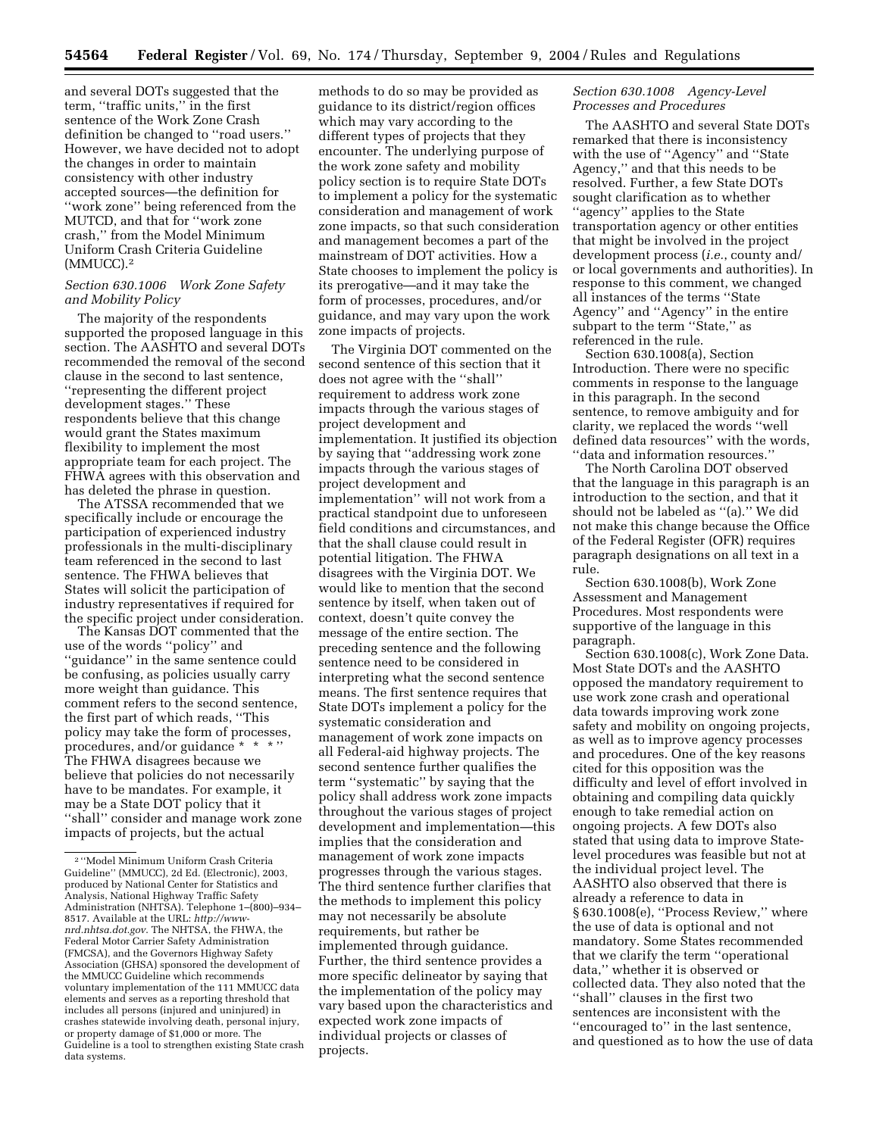and several DOTs suggested that the term, ''traffic units,'' in the first sentence of the Work Zone Crash definition be changed to ''road users.'' However, we have decided not to adopt the changes in order to maintain consistency with other industry accepted sources—the definition for ''work zone'' being referenced from the MUTCD, and that for ''work zone crash,'' from the Model Minimum Uniform Crash Criteria Guideline (MMUCC).2

# *Section 630.1006 Work Zone Safety and Mobility Policy*

The majority of the respondents supported the proposed language in this section. The AASHTO and several DOTs recommended the removal of the second clause in the second to last sentence, ''representing the different project development stages.'' These respondents believe that this change would grant the States maximum flexibility to implement the most appropriate team for each project. The FHWA agrees with this observation and has deleted the phrase in question.

The ATSSA recommended that we specifically include or encourage the participation of experienced industry professionals in the multi-disciplinary team referenced in the second to last sentence. The FHWA believes that States will solicit the participation of industry representatives if required for the specific project under consideration.

The Kansas DOT commented that the use of the words ''policy'' and ''guidance'' in the same sentence could be confusing, as policies usually carry more weight than guidance. This comment refers to the second sentence, the first part of which reads, ''This policy may take the form of processes, procedures, and/or guidance \* \* \* '' The FHWA disagrees because we believe that policies do not necessarily have to be mandates. For example, it may be a State DOT policy that it ''shall'' consider and manage work zone impacts of projects, but the actual

methods to do so may be provided as guidance to its district/region offices which may vary according to the different types of projects that they encounter. The underlying purpose of the work zone safety and mobility policy section is to require State DOTs to implement a policy for the systematic consideration and management of work zone impacts, so that such consideration and management becomes a part of the mainstream of DOT activities. How a State chooses to implement the policy is its prerogative—and it may take the form of processes, procedures, and/or guidance, and may vary upon the work zone impacts of projects.

The Virginia DOT commented on the second sentence of this section that it does not agree with the ''shall'' requirement to address work zone impacts through the various stages of project development and implementation. It justified its objection by saying that ''addressing work zone impacts through the various stages of project development and implementation'' will not work from a practical standpoint due to unforeseen field conditions and circumstances, and that the shall clause could result in potential litigation. The FHWA disagrees with the Virginia DOT. We would like to mention that the second sentence by itself, when taken out of context, doesn't quite convey the message of the entire section. The preceding sentence and the following sentence need to be considered in interpreting what the second sentence means. The first sentence requires that State DOTs implement a policy for the systematic consideration and management of work zone impacts on all Federal-aid highway projects. The second sentence further qualifies the term ''systematic'' by saying that the policy shall address work zone impacts throughout the various stages of project development and implementation—this implies that the consideration and management of work zone impacts progresses through the various stages. The third sentence further clarifies that the methods to implement this policy may not necessarily be absolute requirements, but rather be implemented through guidance. Further, the third sentence provides a more specific delineator by saying that the implementation of the policy may vary based upon the characteristics and expected work zone impacts of individual projects or classes of projects.

# *Section 630.1008 Agency-Level Processes and Procedures*

The AASHTO and several State DOTs remarked that there is inconsistency with the use of ''Agency'' and ''State Agency,'' and that this needs to be resolved. Further, a few State DOTs sought clarification as to whether ''agency'' applies to the State transportation agency or other entities that might be involved in the project development process (*i.e.*, county and/ or local governments and authorities). In response to this comment, we changed all instances of the terms ''State Agency'' and ''Agency'' in the entire subpart to the term "State," as referenced in the rule.

Section 630.1008(a), Section Introduction. There were no specific comments in response to the language in this paragraph. In the second sentence, to remove ambiguity and for clarity, we replaced the words ''well defined data resources'' with the words, ''data and information resources.''

The North Carolina DOT observed that the language in this paragraph is an introduction to the section, and that it should not be labeled as ''(a).'' We did not make this change because the Office of the Federal Register (OFR) requires paragraph designations on all text in a rule.

Section 630.1008(b), Work Zone Assessment and Management Procedures. Most respondents were supportive of the language in this paragraph.

Section 630.1008(c), Work Zone Data. Most State DOTs and the AASHTO opposed the mandatory requirement to use work zone crash and operational data towards improving work zone safety and mobility on ongoing projects, as well as to improve agency processes and procedures. One of the key reasons cited for this opposition was the difficulty and level of effort involved in obtaining and compiling data quickly enough to take remedial action on ongoing projects. A few DOTs also stated that using data to improve Statelevel procedures was feasible but not at the individual project level. The AASHTO also observed that there is already a reference to data in § 630.1008(e), ''Process Review,'' where the use of data is optional and not mandatory. Some States recommended that we clarify the term ''operational data,'' whether it is observed or collected data. They also noted that the ''shall'' clauses in the first two sentences are inconsistent with the ''encouraged to'' in the last sentence, and questioned as to how the use of data

<sup>2</sup> ''Model Minimum Uniform Crash Criteria Guideline'' (MMUCC), 2d Ed. (Electronic), 2003, produced by National Center for Statistics and Analysis, National Highway Traffic Safety Administration (NHTSA). Telephone 1–(800)–934– 8517. Available at the URL: *http://wwwnrd.nhtsa.dot.gov*[. The NHTSA, the FHWA, the](http://www-nrd.nhtsa.dot.gov)  Federal Motor Carrier Safety Administration (FMCSA), and the Governors Highway Safety Association (GHSA) sponsored the development of the MMUCC Guideline which recommends voluntary implementation of the 111 MMUCC data elements and serves as a reporting threshold that includes all persons (injured and uninjured) in crashes statewide involving death, personal injury, or property damage of \$1,000 or more. The Guideline is a tool to strengthen existing State crash data systems.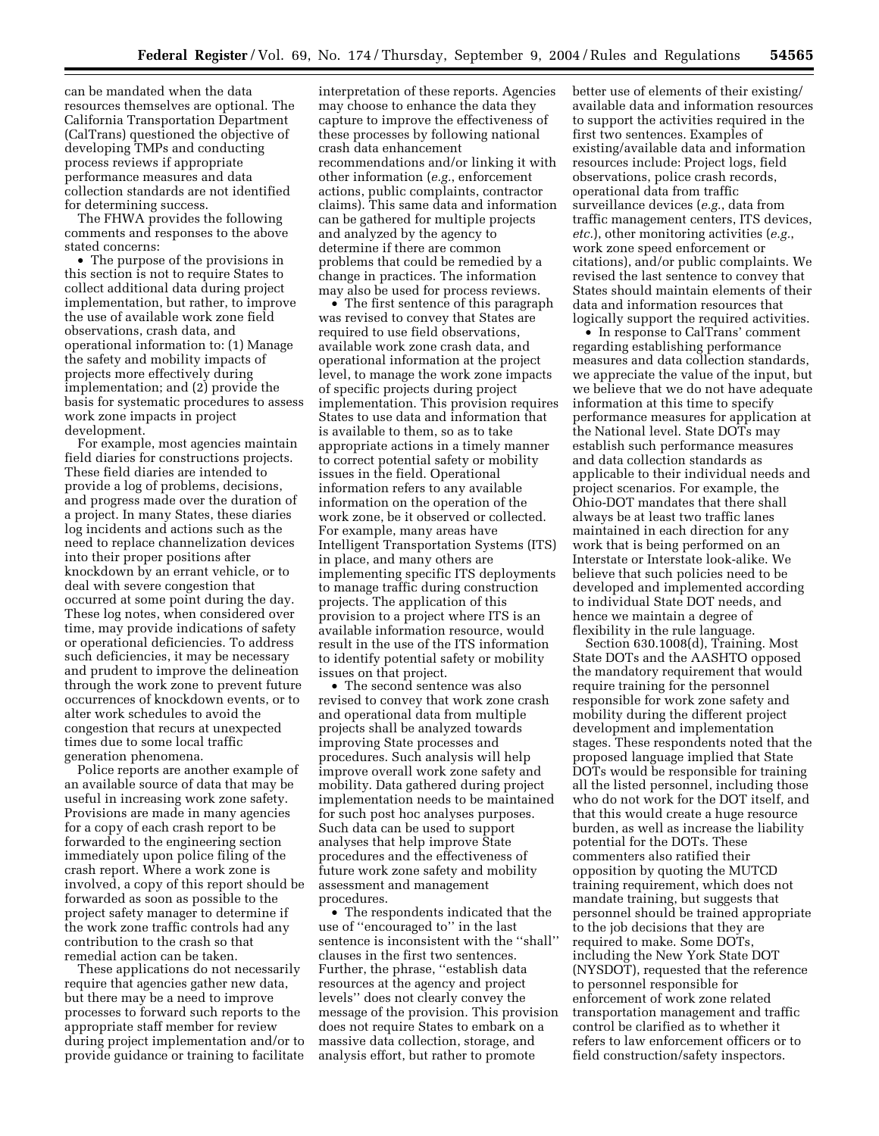can be mandated when the data resources themselves are optional. The California Transportation Department (CalTrans) questioned the objective of developing TMPs and conducting process reviews if appropriate performance measures and data collection standards are not identified for determining success.

The FHWA provides the following comments and responses to the above stated concerns:

• The purpose of the provisions in this section is not to require States to collect additional data during project implementation, but rather, to improve the use of available work zone field observations, crash data, and operational information to: (1) Manage the safety and mobility impacts of projects more effectively during implementation; and (2) provide the basis for systematic procedures to assess work zone impacts in project development.

For example, most agencies maintain field diaries for constructions projects. These field diaries are intended to provide a log of problems, decisions, and progress made over the duration of a project. In many States, these diaries log incidents and actions such as the need to replace channelization devices into their proper positions after knockdown by an errant vehicle, or to deal with severe congestion that occurred at some point during the day. These log notes, when considered over time, may provide indications of safety or operational deficiencies. To address such deficiencies, it may be necessary and prudent to improve the delineation through the work zone to prevent future occurrences of knockdown events, or to alter work schedules to avoid the congestion that recurs at unexpected times due to some local traffic generation phenomena.

Police reports are another example of an available source of data that may be useful in increasing work zone safety. Provisions are made in many agencies for a copy of each crash report to be forwarded to the engineering section immediately upon police filing of the crash report. Where a work zone is involved, a copy of this report should be forwarded as soon as possible to the project safety manager to determine if the work zone traffic controls had any contribution to the crash so that remedial action can be taken.

These applications do not necessarily require that agencies gather new data, but there may be a need to improve processes to forward such reports to the appropriate staff member for review during project implementation and/or to provide guidance or training to facilitate

interpretation of these reports. Agencies may choose to enhance the data they capture to improve the effectiveness of these processes by following national crash data enhancement recommendations and/or linking it with other information (*e.g.*, enforcement actions, public complaints, contractor claims). This same data and information can be gathered for multiple projects and analyzed by the agency to determine if there are common problems that could be remedied by a change in practices. The information may also be used for process reviews.

• The first sentence of this paragraph was revised to convey that States are required to use field observations, available work zone crash data, and operational information at the project level, to manage the work zone impacts of specific projects during project implementation. This provision requires States to use data and information that is available to them, so as to take appropriate actions in a timely manner to correct potential safety or mobility issues in the field. Operational information refers to any available information on the operation of the work zone, be it observed or collected. For example, many areas have Intelligent Transportation Systems (ITS) in place, and many others are implementing specific ITS deployments to manage traffic during construction projects. The application of this provision to a project where ITS is an available information resource, would result in the use of the ITS information to identify potential safety or mobility issues on that project.

• The second sentence was also revised to convey that work zone crash and operational data from multiple projects shall be analyzed towards improving State processes and procedures. Such analysis will help improve overall work zone safety and mobility. Data gathered during project implementation needs to be maintained for such post hoc analyses purposes. Such data can be used to support analyses that help improve State procedures and the effectiveness of future work zone safety and mobility assessment and management procedures.

• The respondents indicated that the use of ''encouraged to'' in the last sentence is inconsistent with the ''shall'' clauses in the first two sentences. Further, the phrase, ''establish data resources at the agency and project levels'' does not clearly convey the message of the provision. This provision does not require States to embark on a massive data collection, storage, and analysis effort, but rather to promote

better use of elements of their existing/ available data and information resources to support the activities required in the first two sentences. Examples of existing/available data and information resources include: Project logs, field observations, police crash records, operational data from traffic surveillance devices (*e.g.*, data from traffic management centers, ITS devices, *etc.*), other monitoring activities (*e.g.*, work zone speed enforcement or citations), and/or public complaints. We revised the last sentence to convey that States should maintain elements of their data and information resources that logically support the required activities.

• In response to CalTrans' comment regarding establishing performance measures and data collection standards, we appreciate the value of the input, but we believe that we do not have adequate information at this time to specify performance measures for application at the National level. State DOTs may establish such performance measures and data collection standards as applicable to their individual needs and project scenarios. For example, the Ohio-DOT mandates that there shall always be at least two traffic lanes maintained in each direction for any work that is being performed on an Interstate or Interstate look-alike. We believe that such policies need to be developed and implemented according to individual State DOT needs, and hence we maintain a degree of flexibility in the rule language.

Section 630.1008(d), Training. Most State DOTs and the AASHTO opposed the mandatory requirement that would require training for the personnel responsible for work zone safety and mobility during the different project development and implementation stages. These respondents noted that the proposed language implied that State DOTs would be responsible for training all the listed personnel, including those who do not work for the DOT itself, and that this would create a huge resource burden, as well as increase the liability potential for the DOTs. These commenters also ratified their opposition by quoting the MUTCD training requirement, which does not mandate training, but suggests that personnel should be trained appropriate to the job decisions that they are required to make. Some DOTs, including the New York State DOT (NYSDOT), requested that the reference to personnel responsible for enforcement of work zone related transportation management and traffic control be clarified as to whether it refers to law enforcement officers or to field construction/safety inspectors.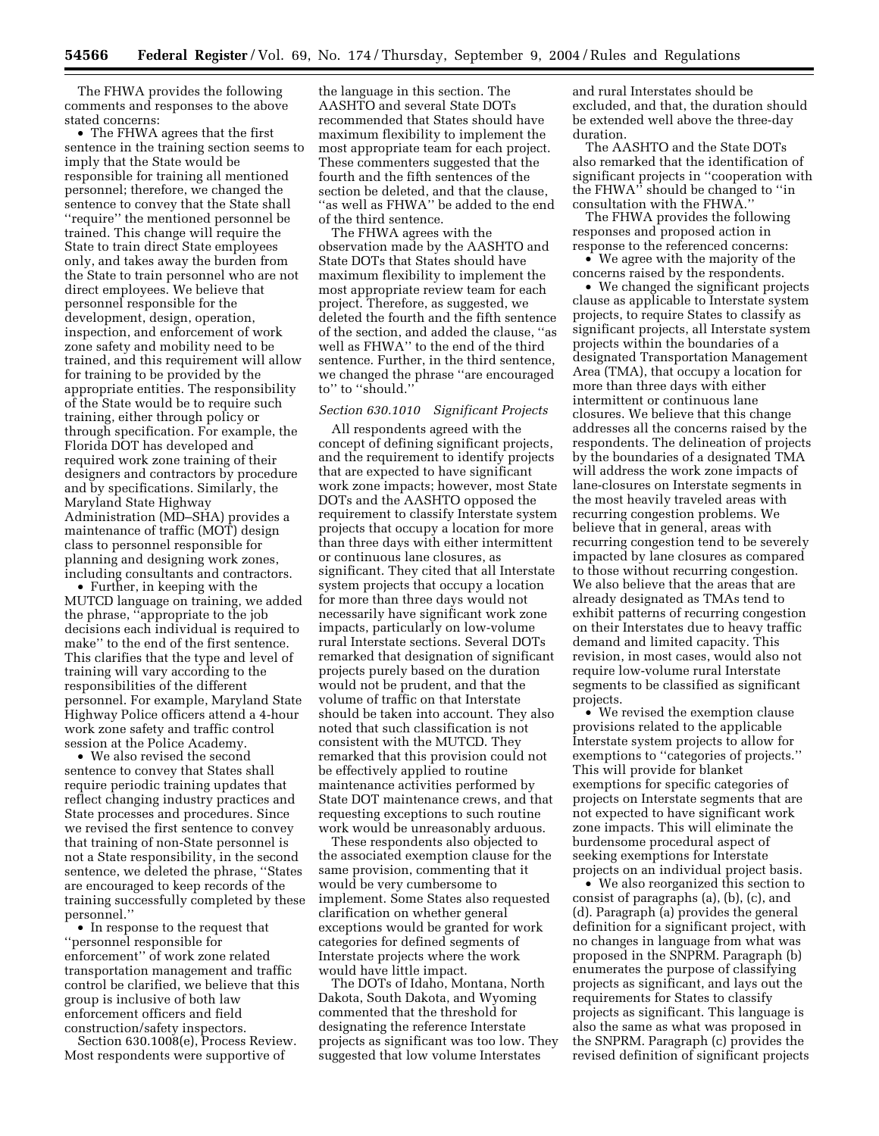The FHWA provides the following comments and responses to the above stated concerns:

• The FHWA agrees that the first sentence in the training section seems to imply that the State would be responsible for training all mentioned personnel; therefore, we changed the sentence to convey that the State shall ''require'' the mentioned personnel be trained. This change will require the State to train direct State employees only, and takes away the burden from the State to train personnel who are not direct employees. We believe that personnel responsible for the development, design, operation, inspection, and enforcement of work zone safety and mobility need to be trained, and this requirement will allow for training to be provided by the appropriate entities. The responsibility of the State would be to require such training, either through policy or through specification. For example, the Florida DOT has developed and required work zone training of their designers and contractors by procedure and by specifications. Similarly, the Maryland State Highway Administration (MD–SHA) provides a maintenance of traffic (MOT) design class to personnel responsible for planning and designing work zones, including consultants and contractors.

• Further, in keeping with the MUTCD language on training, we added the phrase, ''appropriate to the job decisions each individual is required to make'' to the end of the first sentence. This clarifies that the type and level of training will vary according to the responsibilities of the different personnel. For example, Maryland State Highway Police officers attend a 4-hour work zone safety and traffic control session at the Police Academy.

• We also revised the second sentence to convey that States shall require periodic training updates that reflect changing industry practices and State processes and procedures. Since we revised the first sentence to convey that training of non-State personnel is not a State responsibility, in the second sentence, we deleted the phrase, ''States are encouraged to keep records of the training successfully completed by these personnel.''

• In response to the request that ''personnel responsible for enforcement'' of work zone related transportation management and traffic control be clarified, we believe that this group is inclusive of both law enforcement officers and field construction/safety inspectors.

Section 630.1008(e), Process Review. Most respondents were supportive of

the language in this section. The AASHTO and several State DOTs recommended that States should have maximum flexibility to implement the most appropriate team for each project. These commenters suggested that the fourth and the fifth sentences of the section be deleted, and that the clause, ''as well as FHWA'' be added to the end of the third sentence.

The FHWA agrees with the observation made by the AASHTO and State DOTs that States should have maximum flexibility to implement the most appropriate review team for each project. Therefore, as suggested, we deleted the fourth and the fifth sentence of the section, and added the clause, ''as well as FHWA'' to the end of the third sentence. Further, in the third sentence, we changed the phrase ''are encouraged to'' to ''should.''

# *Section 630.1010 Significant Projects*

All respondents agreed with the concept of defining significant projects, and the requirement to identify projects that are expected to have significant work zone impacts; however, most State DOTs and the AASHTO opposed the requirement to classify Interstate system projects that occupy a location for more than three days with either intermittent or continuous lane closures, as significant. They cited that all Interstate system projects that occupy a location for more than three days would not necessarily have significant work zone impacts, particularly on low-volume rural Interstate sections. Several DOTs remarked that designation of significant projects purely based on the duration would not be prudent, and that the volume of traffic on that Interstate should be taken into account. They also noted that such classification is not consistent with the MUTCD. They remarked that this provision could not be effectively applied to routine maintenance activities performed by State DOT maintenance crews, and that requesting exceptions to such routine work would be unreasonably arduous.

These respondents also objected to the associated exemption clause for the same provision, commenting that it would be very cumbersome to implement. Some States also requested clarification on whether general exceptions would be granted for work categories for defined segments of Interstate projects where the work would have little impact.

The DOTs of Idaho, Montana, North Dakota, South Dakota, and Wyoming commented that the threshold for designating the reference Interstate projects as significant was too low. They suggested that low volume Interstates

and rural Interstates should be excluded, and that, the duration should be extended well above the three-day duration.

The AASHTO and the State DOTs also remarked that the identification of significant projects in ''cooperation with the FHWA'' should be changed to ''in consultation with the FHWA.''

The FHWA provides the following responses and proposed action in response to the referenced concerns:

• We agree with the majority of the concerns raised by the respondents.

• We changed the significant projects clause as applicable to Interstate system projects, to require States to classify as significant projects, all Interstate system projects within the boundaries of a designated Transportation Management Area (TMA), that occupy a location for more than three days with either intermittent or continuous lane closures. We believe that this change addresses all the concerns raised by the respondents. The delineation of projects by the boundaries of a designated TMA will address the work zone impacts of lane-closures on Interstate segments in the most heavily traveled areas with recurring congestion problems. We believe that in general, areas with recurring congestion tend to be severely impacted by lane closures as compared to those without recurring congestion. We also believe that the areas that are already designated as TMAs tend to exhibit patterns of recurring congestion on their Interstates due to heavy traffic demand and limited capacity. This revision, in most cases, would also not require low-volume rural Interstate segments to be classified as significant projects.

• We revised the exemption clause provisions related to the applicable Interstate system projects to allow for exemptions to ''categories of projects.'' This will provide for blanket exemptions for specific categories of projects on Interstate segments that are not expected to have significant work zone impacts. This will eliminate the burdensome procedural aspect of seeking exemptions for Interstate projects on an individual project basis.

• We also reorganized this section to consist of paragraphs (a), (b), (c), and (d). Paragraph (a) provides the general definition for a significant project, with no changes in language from what was proposed in the SNPRM. Paragraph (b) enumerates the purpose of classifying projects as significant, and lays out the requirements for States to classify projects as significant. This language is also the same as what was proposed in the SNPRM. Paragraph (c) provides the revised definition of significant projects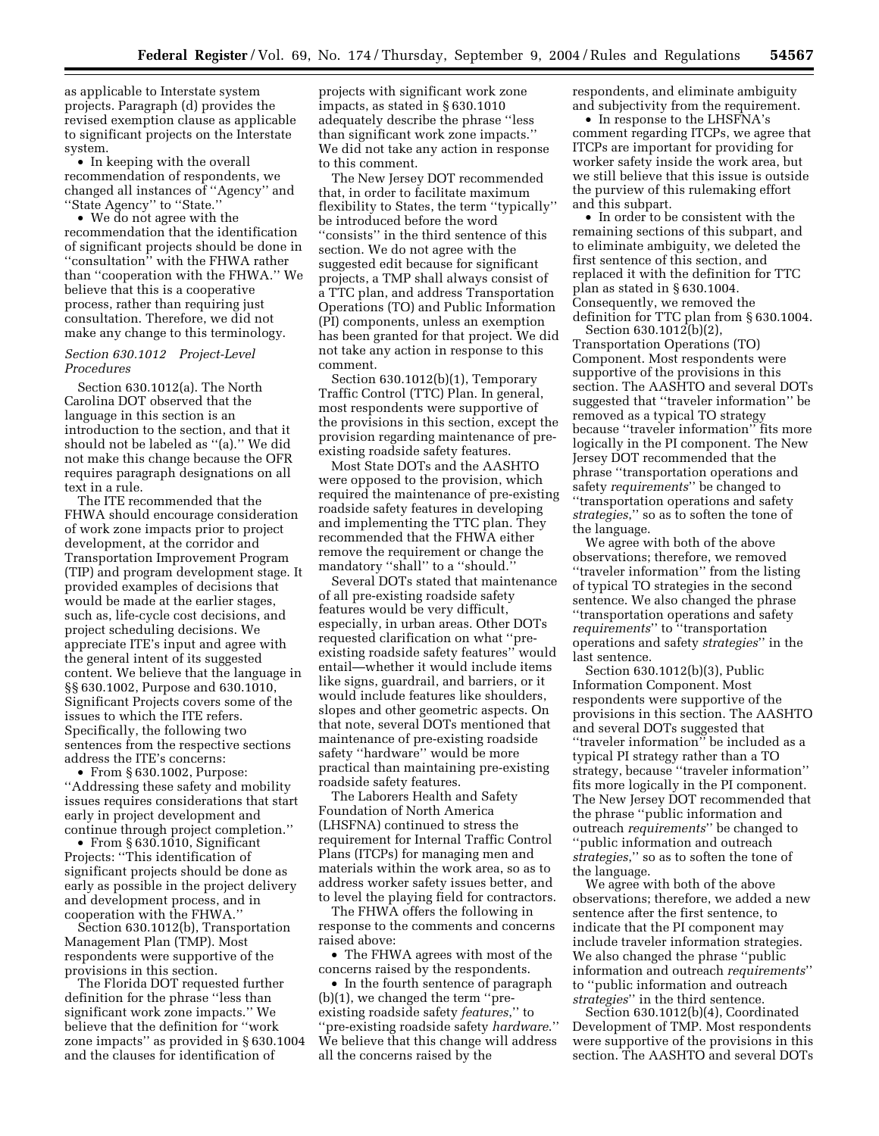as applicable to Interstate system projects. Paragraph (d) provides the revised exemption clause as applicable to significant projects on the Interstate system.

• In keeping with the overall recommendation of respondents, we changed all instances of ''Agency'' and ''State Agency'' to ''State.''

• We do not agree with the recommendation that the identification of significant projects should be done in ''consultation'' with the FHWA rather than ''cooperation with the FHWA.'' We believe that this is a cooperative process, rather than requiring just consultation. Therefore, we did not make any change to this terminology.

## *Section 630.1012 Project-Level Procedures*

Section 630.1012(a). The North Carolina DOT observed that the language in this section is an introduction to the section, and that it should not be labeled as ''(a).'' We did not make this change because the OFR requires paragraph designations on all text in a rule.

The ITE recommended that the FHWA should encourage consideration of work zone impacts prior to project development, at the corridor and Transportation Improvement Program (TIP) and program development stage. It provided examples of decisions that would be made at the earlier stages, such as, life-cycle cost decisions, and project scheduling decisions. We appreciate ITE's input and agree with the general intent of its suggested content. We believe that the language in §§ 630.1002, Purpose and 630.1010, Significant Projects covers some of the issues to which the ITE refers. Specifically, the following two sentences from the respective sections address the ITE's concerns:

• From § 630.1002, Purpose: ''Addressing these safety and mobility issues requires considerations that start early in project development and continue through project completion.''

• From § 630.1010, Significant Projects: ''This identification of significant projects should be done as early as possible in the project delivery and development process, and in cooperation with the FHWA.''

Section 630.1012(b), Transportation Management Plan (TMP). Most respondents were supportive of the provisions in this section.

The Florida DOT requested further definition for the phrase ''less than significant work zone impacts.'' We believe that the definition for ''work zone impacts'' as provided in § 630.1004 and the clauses for identification of

projects with significant work zone impacts, as stated in § 630.1010 adequately describe the phrase ''less than significant work zone impacts.'' We did not take any action in response to this comment.

The New Jersey DOT recommended that, in order to facilitate maximum flexibility to States, the term ''typically'' be introduced before the word ''consists'' in the third sentence of this section. We do not agree with the suggested edit because for significant projects, a TMP shall always consist of a TTC plan, and address Transportation Operations (TO) and Public Information (PI) components, unless an exemption has been granted for that project. We did not take any action in response to this comment.

Section 630.1012(b)(1), Temporary Traffic Control (TTC) Plan. In general, most respondents were supportive of the provisions in this section, except the provision regarding maintenance of preexisting roadside safety features.

Most State DOTs and the AASHTO were opposed to the provision, which required the maintenance of pre-existing roadside safety features in developing and implementing the TTC plan. They recommended that the FHWA either remove the requirement or change the mandatory "shall" to a "should."

Several DOTs stated that maintenance of all pre-existing roadside safety features would be very difficult, especially, in urban areas. Other DOTs requested clarification on what ''preexisting roadside safety features'' would entail—whether it would include items like signs, guardrail, and barriers, or it would include features like shoulders, slopes and other geometric aspects. On that note, several DOTs mentioned that maintenance of pre-existing roadside safety ''hardware'' would be more practical than maintaining pre-existing roadside safety features.

The Laborers Health and Safety Foundation of North America (LHSFNA) continued to stress the requirement for Internal Traffic Control Plans (ITCPs) for managing men and materials within the work area, so as to address worker safety issues better, and to level the playing field for contractors.

The FHWA offers the following in response to the comments and concerns raised above:

• The FHWA agrees with most of the concerns raised by the respondents.

• In the fourth sentence of paragraph (b)(1), we changed the term ''preexisting roadside safety *features*,'' to ''pre-existing roadside safety *hardware*.'' We believe that this change will address all the concerns raised by the

respondents, and eliminate ambiguity and subjectivity from the requirement.

• In response to the LHSFNA's comment regarding ITCPs, we agree that ITCPs are important for providing for worker safety inside the work area, but we still believe that this issue is outside the purview of this rulemaking effort and this subpart.

• In order to be consistent with the remaining sections of this subpart, and to eliminate ambiguity, we deleted the first sentence of this section, and replaced it with the definition for TTC plan as stated in § 630.1004. Consequently, we removed the definition for TTC plan from § 630.1004.

Section 630.1012(b)(2), Transportation Operations (TO) Component. Most respondents were supportive of the provisions in this section. The AASHTO and several DOTs suggested that ''traveler information'' be removed as a typical TO strategy because ''traveler information'' fits more logically in the PI component. The New Jersey DOT recommended that the phrase ''transportation operations and safety *requirements*'' be changed to ''transportation operations and safety *strategies*,'' so as to soften the tone of the language.

We agree with both of the above observations; therefore, we removed ''traveler information'' from the listing of typical TO strategies in the second sentence. We also changed the phrase ''transportation operations and safety *requirements*'' to ''transportation operations and safety *strategies*'' in the last sentence.

Section 630.1012(b)(3), Public Information Component. Most respondents were supportive of the provisions in this section. The AASHTO and several DOTs suggested that ''traveler information'' be included as a typical PI strategy rather than a TO strategy, because ''traveler information'' fits more logically in the PI component. The New Jersey DOT recommended that the phrase ''public information and outreach *requirements*'' be changed to ''public information and outreach *strategies*,'' so as to soften the tone of the language.

We agree with both of the above observations; therefore, we added a new sentence after the first sentence, to indicate that the PI component may include traveler information strategies. We also changed the phrase ''public information and outreach *requirements*'' to ''public information and outreach *strategies*'' in the third sentence.

Section 630.1012(b)(4), Coordinated Development of TMP. Most respondents were supportive of the provisions in this section. The AASHTO and several DOTs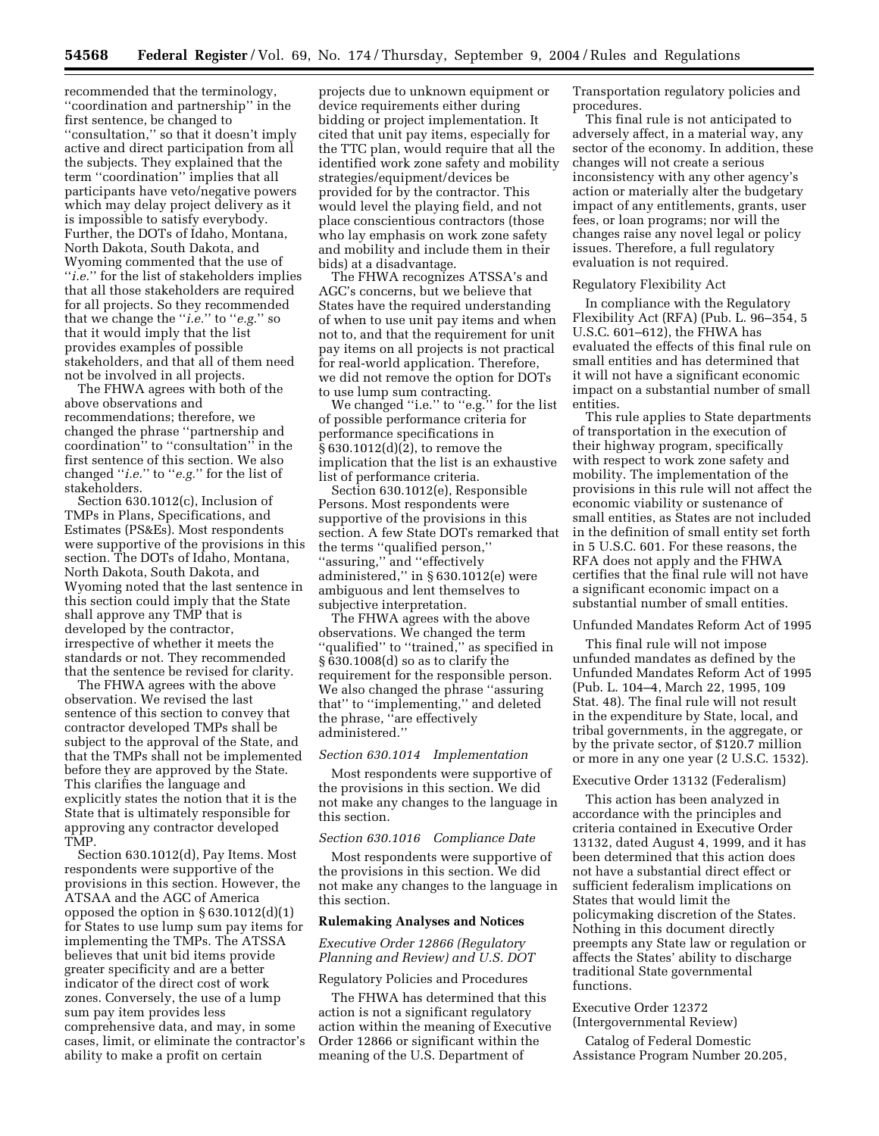recommended that the terminology, ''coordination and partnership'' in the first sentence, be changed to ''consultation,'' so that it doesn't imply active and direct participation from all the subjects. They explained that the term ''coordination'' implies that all participants have veto/negative powers which may delay project delivery as it is impossible to satisfy everybody. Further, the DOTs of Idaho, Montana, North Dakota, South Dakota, and Wyoming commented that the use of "*i.e.*" for the list of stakeholders implies that all those stakeholders are required for all projects. So they recommended that we change the ''*i.e.*'' to ''*e.g.*'' so that it would imply that the list provides examples of possible stakeholders, and that all of them need not be involved in all projects.

The FHWA agrees with both of the above observations and recommendations; therefore, we changed the phrase ''partnership and coordination'' to ''consultation'' in the first sentence of this section. We also changed ''*i.e.*'' to ''*e.g.*'' for the list of stakeholders.

Section 630.1012(c), Inclusion of TMPs in Plans, Specifications, and Estimates (PS&Es). Most respondents were supportive of the provisions in this section. The DOTs of Idaho, Montana, North Dakota, South Dakota, and Wyoming noted that the last sentence in this section could imply that the State shall approve any TMP that is developed by the contractor, irrespective of whether it meets the standards or not. They recommended that the sentence be revised for clarity.

The FHWA agrees with the above observation. We revised the last sentence of this section to convey that contractor developed TMPs shall be subject to the approval of the State, and that the TMPs shall not be implemented before they are approved by the State. This clarifies the language and explicitly states the notion that it is the State that is ultimately responsible for approving any contractor developed TMP.

Section 630.1012(d), Pay Items. Most respondents were supportive of the provisions in this section. However, the ATSAA and the AGC of America opposed the option in  $\S 630.1012(d)(1)$ for States to use lump sum pay items for implementing the TMPs. The ATSSA believes that unit bid items provide greater specificity and are a better indicator of the direct cost of work zones. Conversely, the use of a lump sum pay item provides less comprehensive data, and may, in some cases, limit, or eliminate the contractor's ability to make a profit on certain

projects due to unknown equipment or device requirements either during bidding or project implementation. It cited that unit pay items, especially for the TTC plan, would require that all the identified work zone safety and mobility strategies/equipment/devices be provided for by the contractor. This would level the playing field, and not place conscientious contractors (those who lay emphasis on work zone safety and mobility and include them in their bids) at a disadvantage.

The FHWA recognizes ATSSA's and AGC's concerns, but we believe that States have the required understanding of when to use unit pay items and when not to, and that the requirement for unit pay items on all projects is not practical for real-world application. Therefore, we did not remove the option for DOTs to use lump sum contracting.

We changed ''i.e.'' to ''e.g.'' for the list of possible performance criteria for performance specifications in § 630.1012(d)(2), to remove the implication that the list is an exhaustive list of performance criteria.

Section 630.1012(e), Responsible Persons. Most respondents were supportive of the provisions in this section. A few State DOTs remarked that the terms ''qualified person,'' ''assuring,'' and ''effectively administered,'' in § 630.1012(e) were ambiguous and lent themselves to subjective interpretation.

The FHWA agrees with the above observations. We changed the term "qualified" to "trained," as specified in § 630.1008(d) so as to clarify the requirement for the responsible person. We also changed the phrase ''assuring that'' to ''implementing,'' and deleted the phrase, ''are effectively administered.''

#### *Section 630.1014 Implementation*

Most respondents were supportive of the provisions in this section. We did not make any changes to the language in this section.

# *Section 630.1016 Compliance Date*

Most respondents were supportive of the provisions in this section. We did not make any changes to the language in this section.

#### **Rulemaking Analyses and Notices**

# *Executive Order 12866 (Regulatory Planning and Review) and U.S. DOT*

#### Regulatory Policies and Procedures

The FHWA has determined that this action is not a significant regulatory action within the meaning of Executive Order 12866 or significant within the meaning of the U.S. Department of

Transportation regulatory policies and procedures.

This final rule is not anticipated to adversely affect, in a material way, any sector of the economy. In addition, these changes will not create a serious inconsistency with any other agency's action or materially alter the budgetary impact of any entitlements, grants, user fees, or loan programs; nor will the changes raise any novel legal or policy issues. Therefore, a full regulatory evaluation is not required.

### Regulatory Flexibility Act

In compliance with the Regulatory Flexibility Act (RFA) (Pub. L. 96–354, 5 U.S.C. 601–612), the FHWA has evaluated the effects of this final rule on small entities and has determined that it will not have a significant economic impact on a substantial number of small entities.

This rule applies to State departments of transportation in the execution of their highway program, specifically with respect to work zone safety and mobility. The implementation of the provisions in this rule will not affect the economic viability or sustenance of small entities, as States are not included in the definition of small entity set forth in 5 U.S.C. 601. For these reasons, the RFA does not apply and the FHWA certifies that the final rule will not have a significant economic impact on a substantial number of small entities.

### Unfunded Mandates Reform Act of 1995

This final rule will not impose unfunded mandates as defined by the Unfunded Mandates Reform Act of 1995 (Pub. L. 104–4, March 22, 1995, 109 Stat. 48). The final rule will not result in the expenditure by State, local, and tribal governments, in the aggregate, or by the private sector, of \$120.7 million or more in any one year (2 U.S.C. 1532).

#### Executive Order 13132 (Federalism)

This action has been analyzed in accordance with the principles and criteria contained in Executive Order 13132, dated August 4, 1999, and it has been determined that this action does not have a substantial direct effect or sufficient federalism implications on States that would limit the policymaking discretion of the States. Nothing in this document directly preempts any State law or regulation or affects the States' ability to discharge traditional State governmental functions.

## Executive Order 12372 (Intergovernmental Review)

Catalog of Federal Domestic Assistance Program Number 20.205,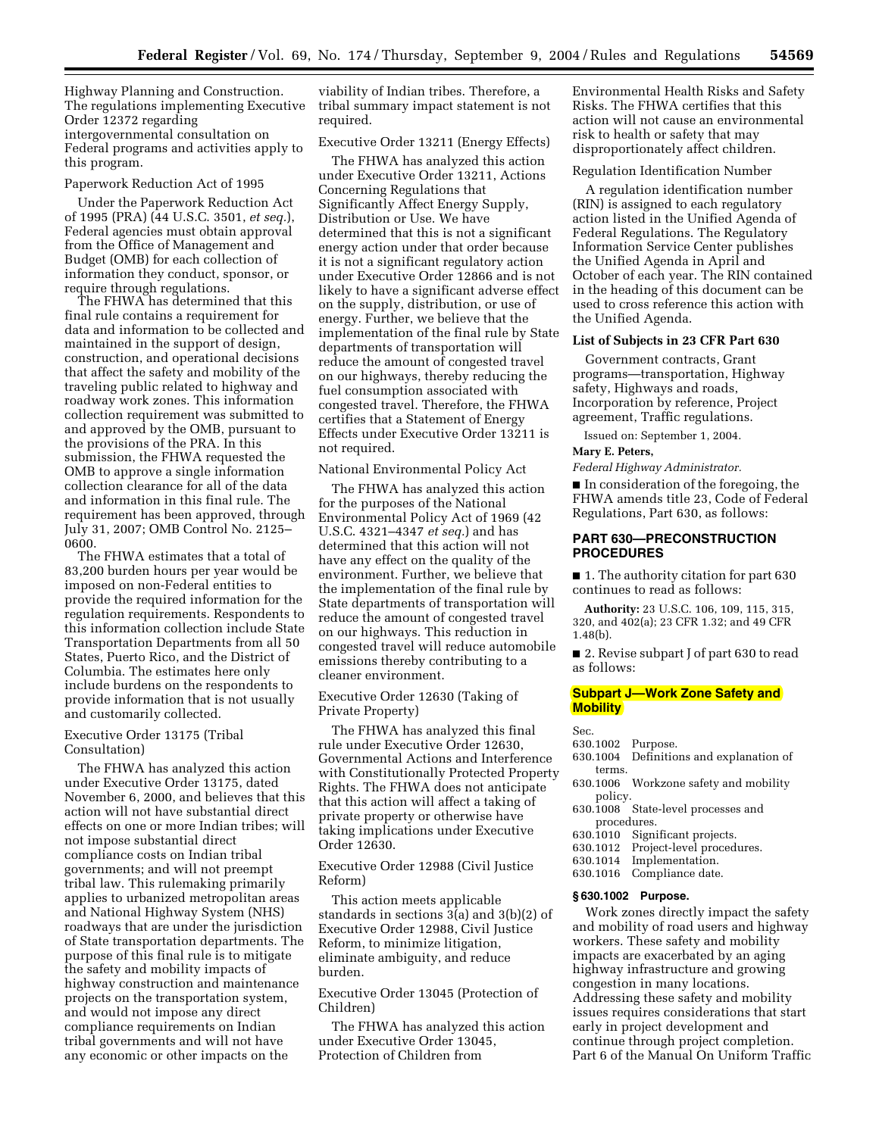Highway Planning and Construction. The regulations implementing Executive Order 12372 regarding intergovernmental consultation on Federal programs and activities apply to this program.

#### Paperwork Reduction Act of 1995

Under the Paperwork Reduction Act of 1995 (PRA) (44 U.S.C. 3501, *et seq.*), Federal agencies must obtain approval from the Office of Management and Budget (OMB) for each collection of information they conduct, sponsor, or require through regulations.

The FHWA has determined that this final rule contains a requirement for data and information to be collected and maintained in the support of design, construction, and operational decisions that affect the safety and mobility of the traveling public related to highway and roadway work zones. This information collection requirement was submitted to and approved by the OMB, pursuant to the provisions of the PRA. In this submission, the FHWA requested the OMB to approve a single information collection clearance for all of the data and information in this final rule. The requirement has been approved, through July 31, 2007; OMB Control No. 2125– 0600.

The FHWA estimates that a total of 83,200 burden hours per year would be imposed on non-Federal entities to provide the required information for the regulation requirements. Respondents to this information collection include State Transportation Departments from all 50 States, Puerto Rico, and the District of Columbia. The estimates here only include burdens on the respondents to provide information that is not usually and customarily collected.

### Executive Order 13175 (Tribal Consultation)

The FHWA has analyzed this action under Executive Order 13175, dated November 6, 2000, and believes that this action will not have substantial direct effects on one or more Indian tribes; will not impose substantial direct compliance costs on Indian tribal governments; and will not preempt tribal law. This rulemaking primarily applies to urbanized metropolitan areas and National Highway System (NHS) roadways that are under the jurisdiction of State transportation departments. The purpose of this final rule is to mitigate the safety and mobility impacts of highway construction and maintenance projects on the transportation system, and would not impose any direct compliance requirements on Indian tribal governments and will not have any economic or other impacts on the

viability of Indian tribes. Therefore, a tribal summary impact statement is not required.

#### Executive Order 13211 (Energy Effects)

The FHWA has analyzed this action under Executive Order 13211, Actions Concerning Regulations that Significantly Affect Energy Supply, Distribution or Use. We have determined that this is not a significant energy action under that order because it is not a significant regulatory action under Executive Order 12866 and is not likely to have a significant adverse effect on the supply, distribution, or use of energy. Further, we believe that the implementation of the final rule by State departments of transportation will reduce the amount of congested travel on our highways, thereby reducing the fuel consumption associated with congested travel. Therefore, the FHWA certifies that a Statement of Energy Effects under Executive Order 13211 is not required.

### National Environmental Policy Act

The FHWA has analyzed this action for the purposes of the National Environmental Policy Act of 1969 (42 U.S.C. 4321–4347 *et seq.*) and has determined that this action will not have any effect on the quality of the environment. Further, we believe that the implementation of the final rule by State departments of transportation will reduce the amount of congested travel on our highways. This reduction in congested travel will reduce automobile emissions thereby contributing to a cleaner environment.

### Executive Order 12630 (Taking of Private Property)

The FHWA has analyzed this final rule under Executive Order 12630, Governmental Actions and Interference with Constitutionally Protected Property Rights. The FHWA does not anticipate that this action will affect a taking of private property or otherwise have taking implications under Executive Order 12630.

Executive Order 12988 (Civil Justice Reform)

This action meets applicable standards in sections 3(a) and 3(b)(2) of Executive Order 12988, Civil Justice Reform, to minimize litigation, eliminate ambiguity, and reduce burden.

Executive Order 13045 (Protection of Children)

The FHWA has analyzed this action under Executive Order 13045, Protection of Children from

Environmental Health Risks and Safety Risks. The FHWA certifies that this action will not cause an environmental risk to health or safety that may disproportionately affect children.

#### Regulation Identification Number

A regulation identification number (RIN) is assigned to each regulatory action listed in the Unified Agenda of Federal Regulations. The Regulatory Information Service Center publishes the Unified Agenda in April and October of each year. The RIN contained in the heading of this document can be used to cross reference this action with the Unified Agenda.

### **List of Subjects in 23 CFR Part 630**

Government contracts, Grant programs—transportation, Highway safety, Highways and roads, Incorporation by reference, Project agreement, Traffic regulations.

Issued on: September 1, 2004. **Mary E. Peters,** 

#### *Federal Highway Administrator.*

■ In consideration of the foregoing, the FHWA amends title 23, Code of Federal Regulations, Part 630, as follows:

# **PART 630—PRECONSTRUCTION PROCEDURES**

■ 1. The authority citation for part 630 continues to read as follows:

**Authority:** 23 U.S.C. 106, 109, 115, 315, 320, and 402(a); 23 CFR 1.32; and 49 CFR 1.48(b).

■ 2. Revise subpart J of part 630 to read as follows:

# **Subpart J—Work Zone Safety and Mobility**

Sec.

- 630.1002 Purpose. Definitions and explanation of terms.
- 630.1006 Workzone safety and mobility policy.
- 630.1008 State-level processes and
- procedures.<br>630.1010 Sign
- 630.1010 Significant projects.<br>630.1012 Project-level proced
- 630.1012 Project-level procedures.<br>630.1014 Implementation. Implementation.
- 630.1016 Compliance date.

#### **§ 630.1002 Purpose.**

Work zones directly impact the safety and mobility of road users and highway workers. These safety and mobility impacts are exacerbated by an aging highway infrastructure and growing congestion in many locations. Addressing these safety and mobility issues requires considerations that start early in project development and continue through project completion. Part 6 of the Manual On Uniform Traffic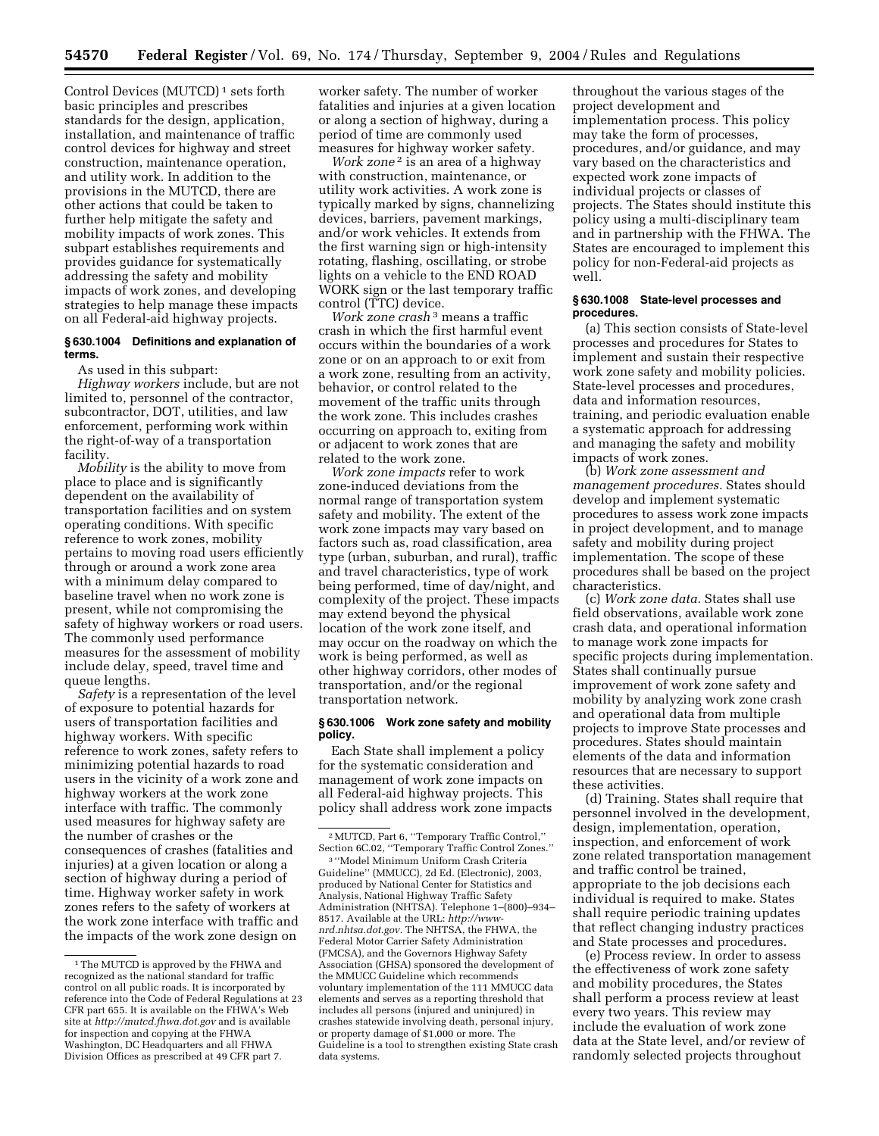Control Devices (MUTCD)<sup>1</sup> sets forth basic principles and prescribes standards for the design, application, installation, and maintenance of traffic control devices for highway and street construction, maintenance operation, and utility work. In addition to the provisions in the MUTCD, there are other actions that could be taken to further help mitigate the safety and mobility impacts of work zones. This subpart establishes requirements and provides guidance for systematically addressing the safety and mobility impacts of work zones, and developing strategies to help manage these impacts on all Federal-aid highway projects.

### **§ 630.1004 Definitions and explanation of terms.**

As used in this subpart:

*Highway workers* include, but are not limited to, personnel of the contractor, subcontractor, DOT, utilities, and law enforcement, performing work within the right-of-way of a transportation facility.

*Mobility* is the ability to move from place to place and is significantly dependent on the availability of transportation facilities and on system operating conditions. With specific reference to work zones, mobility pertains to moving road users efficiently through or around a work zone area with a minimum delay compared to baseline travel when no work zone is present, while not compromising the safety of highway workers or road users. The commonly used performance measures for the assessment of mobility include delay, speed, travel time and queue lengths.

*Safety* is a representation of the level of exposure to potential hazards for users of transportation facilities and highway workers. With specific reference to work zones, safety refers to minimizing potential hazards to road users in the vicinity of a work zone and highway workers at the work zone interface with traffic. The commonly used measures for highway safety are the number of crashes or the consequences of crashes (fatalities and injuries) at a given location or along a section of highway during a period of time. Highway worker safety in work zones refers to the safety of workers at the work zone interface with traffic and the impacts of the work zone design on

worker safety. The number of worker fatalities and injuries at a given location or along a section of highway, during a period of time are commonly used measures for highway worker safety.

*Work zone* 2 is an area of a highway with construction, maintenance, or utility work activities. A work zone is typically marked by signs, channelizing devices, barriers, pavement markings, and/or work vehicles. It extends from the first warning sign or high-intensity rotating, flashing, oscillating, or strobe lights on a vehicle to the END ROAD WORK sign or the last temporary traffic control (TTC) device.

*Work zone crash* 3 means a traffic crash in which the first harmful event occurs within the boundaries of a work zone or on an approach to or exit from a work zone, resulting from an activity, behavior, or control related to the movement of the traffic units through the work zone. This includes crashes occurring on approach to, exiting from or adjacent to work zones that are related to the work zone.

*Work zone impacts* refer to work zone-induced deviations from the normal range of transportation system safety and mobility. The extent of the work zone impacts may vary based on factors such as, road classification, area type (urban, suburban, and rural), traffic and travel characteristics, type of work being performed, time of day/night, and complexity of the project. These impacts may extend beyond the physical location of the work zone itself, and may occur on the roadway on which the work is being performed, as well as other highway corridors, other modes of transportation, and/or the regional transportation network.

#### **§ 630.1006 Work zone safety and mobility policy.**

Each State shall implement a policy for the systematic consideration and management of work zone impacts on all Federal-aid highway projects. This policy shall address work zone impacts

3 ''Model Minimum Uniform Crash Criteria Guideline'' (MMUCC), 2d Ed. (Electronic), 2003, produced by National Center for Statistics and Analysis, National Highway Traffic Safety Administration (NHTSA). Telephone 1–(800)–934– [8517. Available at the URL:](http://www-nrd.nhtsa.dot.gov) *http://wwwnrd.nhtsa.dot.gov.* The NHTSA, the FHWA, the Federal Motor Carrier Safety Administration (FMCSA), and the Governors Highway Safety Association (GHSA) sponsored the development of the MMUCC Guideline which recommends voluntary implementation of the 111 MMUCC data elements and serves as a reporting threshold that includes all persons (injured and uninjured) in crashes statewide involving death, personal injury, or property damage of \$1,000 or more. The Guideline is a tool to strengthen existing State crash data systems.

throughout the various stages of the project development and implementation process. This policy may take the form of processes, procedures, and/or guidance, and may vary based on the characteristics and expected work zone impacts of individual projects or classes of projects. The States should institute this policy using a multi-disciplinary team and in partnership with the FHWA. The States are encouraged to implement this policy for non-Federal-aid projects as well.

#### **§ 630.1008 State-level processes and procedures.**

(a) This section consists of State-level processes and procedures for States to implement and sustain their respective work zone safety and mobility policies. State-level processes and procedures, data and information resources, training, and periodic evaluation enable a systematic approach for addressing and managing the safety and mobility impacts of work zones.

(b) *Work zone assessment and management procedures.* States should develop and implement systematic procedures to assess work zone impacts in project development, and to manage safety and mobility during project implementation. The scope of these procedures shall be based on the project characteristics.

(c) *Work zone data.* States shall use field observations, available work zone crash data, and operational information to manage work zone impacts for specific projects during implementation. States shall continually pursue improvement of work zone safety and mobility by analyzing work zone crash and operational data from multiple projects to improve State processes and procedures. States should maintain elements of the data and information resources that are necessary to support these activities.

(d) Training. States shall require that personnel involved in the development, design, implementation, operation, inspection, and enforcement of work zone related transportation management and traffic control be trained, appropriate to the job decisions each individual is required to make. States shall require periodic training updates that reflect changing industry practices and State processes and procedures.

(e) Process review. In order to assess the effectiveness of work zone safety and mobility procedures, the States shall perform a process review at least every two years. This review may include the evaluation of work zone data at the State level, and/or review of randomly selected projects throughout

<sup>&</sup>lt;sup>1</sup>The MUTCD is approved by the FHWA and recognized as the national standard for traffic control on all public roads. It is incorporated by reference into the Code of Federal Regulations at 23 CFR part 655. It is available on the FHWA's Web site at *<http://mutcd.fhwa.dot.gov>* and is available for inspection and copying at the FHWA Washington, DC Headquarters and all FHWA Division Offices as prescribed at 49 CFR part 7.

<sup>2</sup>MUTCD, Part 6, ''Temporary Traffic Control,'' Section 6C.02, ''Temporary Traffic Control Zones.''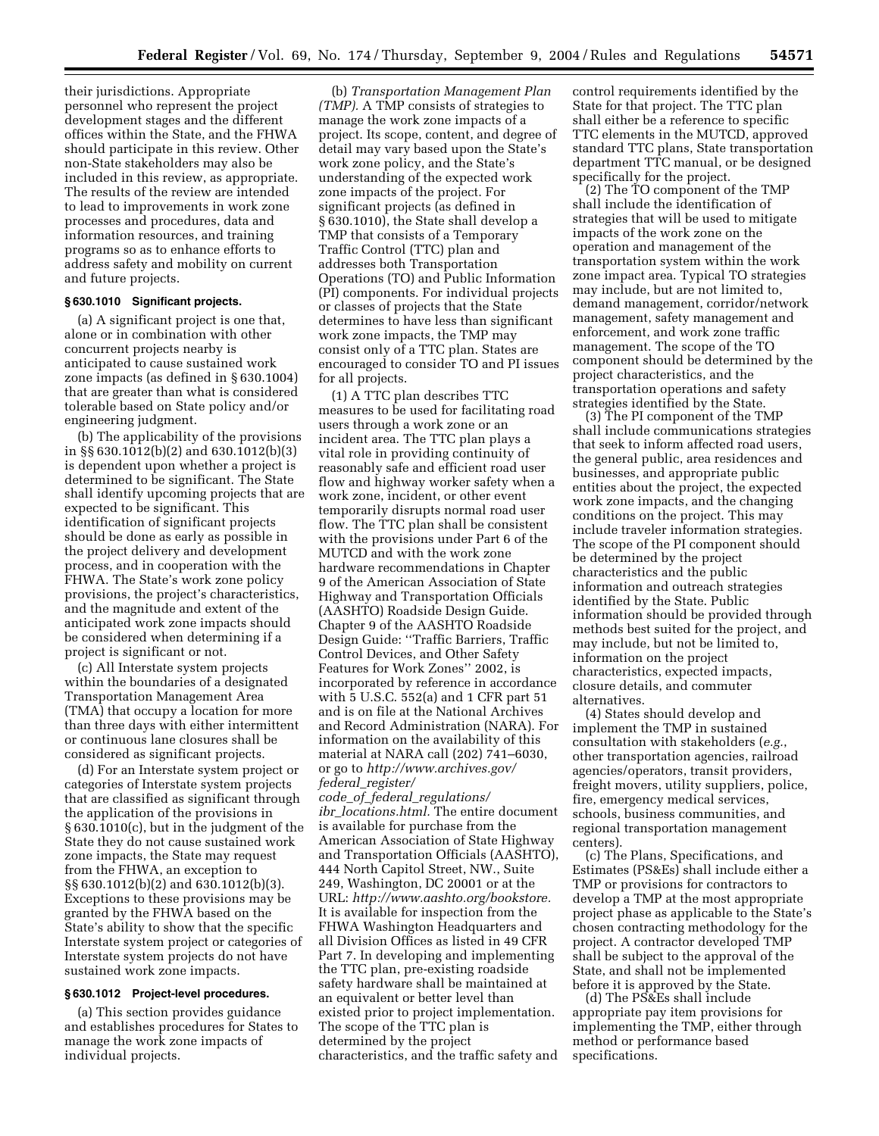their jurisdictions. Appropriate personnel who represent the project development stages and the different offices within the State, and the FHWA should participate in this review. Other non-State stakeholders may also be included in this review, as appropriate. The results of the review are intended to lead to improvements in work zone processes and procedures, data and information resources, and training programs so as to enhance efforts to address safety and mobility on current and future projects.

#### **§ 630.1010 Significant projects.**

(a) A significant project is one that, alone or in combination with other concurrent projects nearby is anticipated to cause sustained work zone impacts (as defined in § 630.1004) that are greater than what is considered tolerable based on State policy and/or engineering judgment.

(b) The applicability of the provisions in §§ 630.1012(b)(2) and 630.1012(b)(3) is dependent upon whether a project is determined to be significant. The State shall identify upcoming projects that are expected to be significant. This identification of significant projects should be done as early as possible in the project delivery and development process, and in cooperation with the FHWA. The State's work zone policy provisions, the project's characteristics, and the magnitude and extent of the anticipated work zone impacts should be considered when determining if a project is significant or not.

(c) All Interstate system projects within the boundaries of a designated Transportation Management Area (TMA) that occupy a location for more than three days with either intermittent or continuous lane closures shall be considered as significant projects.

(d) For an Interstate system project or categories of Interstate system projects that are classified as significant through the application of the provisions in § 630.1010(c), but in the judgment of the State they do not cause sustained work zone impacts, the State may request from the FHWA, an exception to §§ 630.1012(b)(2) and 630.1012(b)(3). Exceptions to these provisions may be granted by the FHWA based on the State's ability to show that the specific Interstate system project or categories of Interstate system projects do not have sustained work zone impacts.

#### **§ 630.1012 Project-level procedures.**

(a) This section provides guidance and establishes procedures for States to manage the work zone impacts of individual projects.

(b) *Transportation Management Plan (TMP).* A TMP consists of strategies to manage the work zone impacts of a project. Its scope, content, and degree of detail may vary based upon the State's work zone policy, and the State's understanding of the expected work zone impacts of the project. For significant projects (as defined in § 630.1010), the State shall develop a TMP that consists of a Temporary Traffic Control (TTC) plan and addresses both Transportation Operations (TO) and Public Information (PI) components. For individual projects or classes of projects that the State determines to have less than significant work zone impacts, the TMP may consist only of a TTC plan. States are encouraged to consider TO and PI issues for all projects.

(1) A TTC plan describes TTC measures to be used for facilitating road users through a work zone or an incident area. The TTC plan plays a vital role in providing continuity of reasonably safe and efficient road user flow and highway worker safety when a work zone, incident, or other event temporarily disrupts normal road user flow. The TTC plan shall be consistent with the provisions under Part 6 of the MUTCD and with the work zone hardware recommendations in Chapter 9 of the American Association of State Highway and Transportation Officials (AASHTO) Roadside Design Guide. Chapter 9 of the AASHTO Roadside Design Guide: ''Traffic Barriers, Traffic Control Devices, and Other Safety Features for Work Zones'' 2002, is incorporated by reference in accordance with 5 U.S.C. 552(a) and 1 CFR part 51 and is on file at the National Archives and Record Administration (NARA). For information on the availability of this material at NARA call (202) 741–6030, or go to *[http://www.archives.gov/](http://www.archives.gov/federal_register/code_of_federal_regulations/ibr_locations.html) federal*\_*register/*

*code*\_*of*\_*federal*\_*regulations/ ibr*\_*locations.html.* The entire document is available for purchase from the American Association of State Highway and Transportation Officials (AASHTO), 444 North Capitol Street, NW., Suite 249, Washington, DC 20001 or at the URL: *[http://www.aashto.org/bookstore.](http://www.aashto.org/bookstore)* It is available for inspection from the FHWA Washington Headquarters and all Division Offices as listed in 49 CFR Part 7. In developing and implementing the TTC plan, pre-existing roadside safety hardware shall be maintained at an equivalent or better level than existed prior to project implementation. The scope of the TTC plan is determined by the project characteristics, and the traffic safety and

control requirements identified by the State for that project. The TTC plan shall either be a reference to specific TTC elements in the MUTCD, approved standard TTC plans, State transportation department TTC manual, or be designed specifically for the project.

(2) The TO component of the TMP shall include the identification of strategies that will be used to mitigate impacts of the work zone on the operation and management of the transportation system within the work zone impact area. Typical TO strategies may include, but are not limited to, demand management, corridor/network management, safety management and enforcement, and work zone traffic management. The scope of the TO component should be determined by the project characteristics, and the transportation operations and safety strategies identified by the State.

(3) The PI component of the TMP shall include communications strategies that seek to inform affected road users, the general public, area residences and businesses, and appropriate public entities about the project, the expected work zone impacts, and the changing conditions on the project. This may include traveler information strategies. The scope of the PI component should be determined by the project characteristics and the public information and outreach strategies identified by the State. Public information should be provided through methods best suited for the project, and may include, but not be limited to, information on the project characteristics, expected impacts, closure details, and commuter alternatives.

(4) States should develop and implement the TMP in sustained consultation with stakeholders (*e.g.*, other transportation agencies, railroad agencies/operators, transit providers, freight movers, utility suppliers, police, fire, emergency medical services, schools, business communities, and regional transportation management centers).

(c) The Plans, Specifications, and Estimates (PS&Es) shall include either a TMP or provisions for contractors to develop a TMP at the most appropriate project phase as applicable to the State's chosen contracting methodology for the project. A contractor developed TMP shall be subject to the approval of the State, and shall not be implemented before it is approved by the State.

(d) The PS&Es shall include appropriate pay item provisions for implementing the TMP, either through method or performance based specifications.